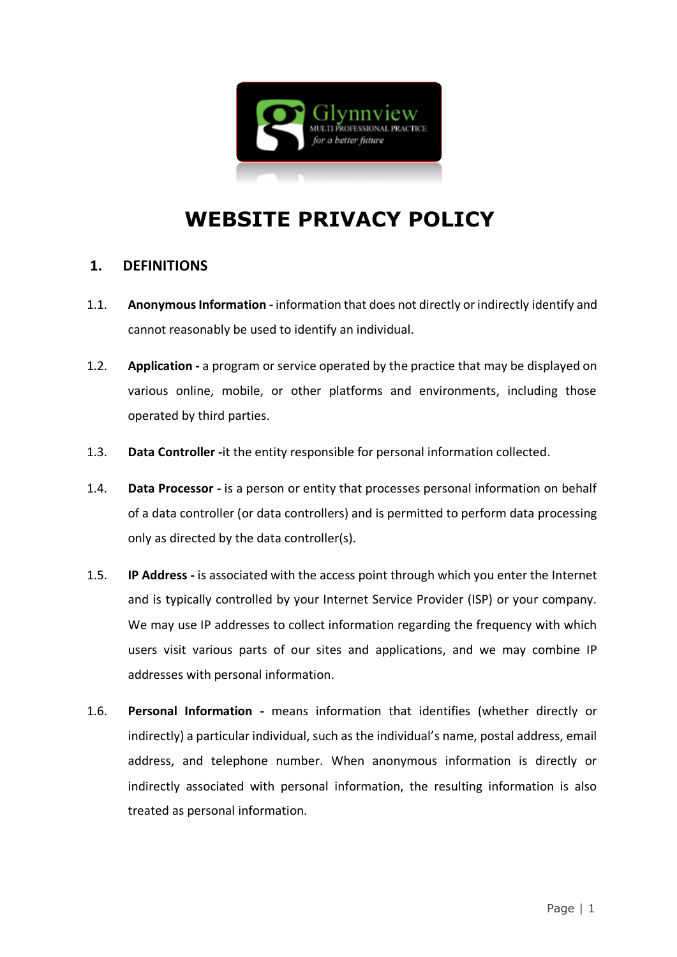

# **WEBSITE PRIVACY POLICY**

### **1. DEFINITIONS**

- 1.1. **Anonymous Information -** information that does not directly or indirectly identify and cannot reasonably be used to identify an individual.
- 1.2. **Application -** a program or service operated by the practice that may be displayed on various online, mobile, or other platforms and environments, including those operated by third parties.
- 1.3. **Data Controller -**it the entity responsible for personal information collected.
- 1.4. **Data Processor -** is a person or entity that processes personal information on behalf of a data controller (or data controllers) and is permitted to perform data processing only as directed by the data controller(s).
- 1.5. **IP Address -** is associated with the access point through which you enter the Internet and is typically controlled by your Internet Service Provider (ISP) or your company. We may use IP addresses to collect information regarding the frequency with which users visit various parts of our sites and applications, and we may combine IP addresses with personal information.
- 1.6. **Personal Information -** means information that identifies (whether directly or indirectly) a particular individual, such as the individual's name, postal address, email address, and telephone number. When anonymous information is directly or indirectly associated with personal information, the resulting information is also treated as personal information.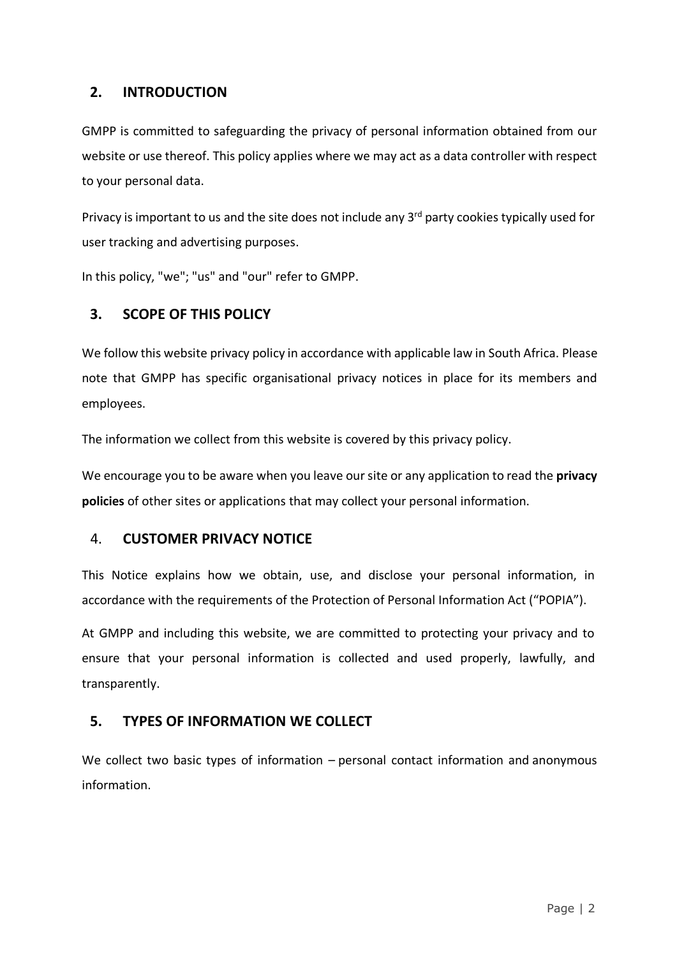# **2. INTRODUCTION**

GMPP is committed to safeguarding the privacy of personal information obtained from our website or use thereof. This policy applies where we may act as a data controller with respect to your personal data.

Privacy is important to us and the site does not include any 3<sup>rd</sup> party cookies typically used for user tracking and advertising purposes.

In this policy, "we"; "us" and "our" refer to GMPP.

# **3. SCOPE OF THIS POLICY**

We follow this website privacy policy in accordance with applicable law in South Africa. Please note that GMPP has specific organisational privacy notices in place for its members and employees.

The information we collect from this website is covered by this privacy policy.

We encourage you to be aware when you leave our site or any application to read the **privacy policies** of other sites or applications that may collect your [personal information.](https://privacy.thewaltdisneycompany.com/en/current-privacy-policy/)

# 4. **CUSTOMER PRIVACY NOTICE**

This Notice explains how we obtain, use, and disclose your personal information, in accordance with the requirements of the Protection of Personal Information Act ("POPIA").

At GMPP and including this website, we are committed to protecting your privacy and to ensure that your personal information is collected and used properly, lawfully, and transparently.

# **5. TYPES OF INFORMATION WE COLLECT**

We collect two basic types of information – personal contact information and anonymous information.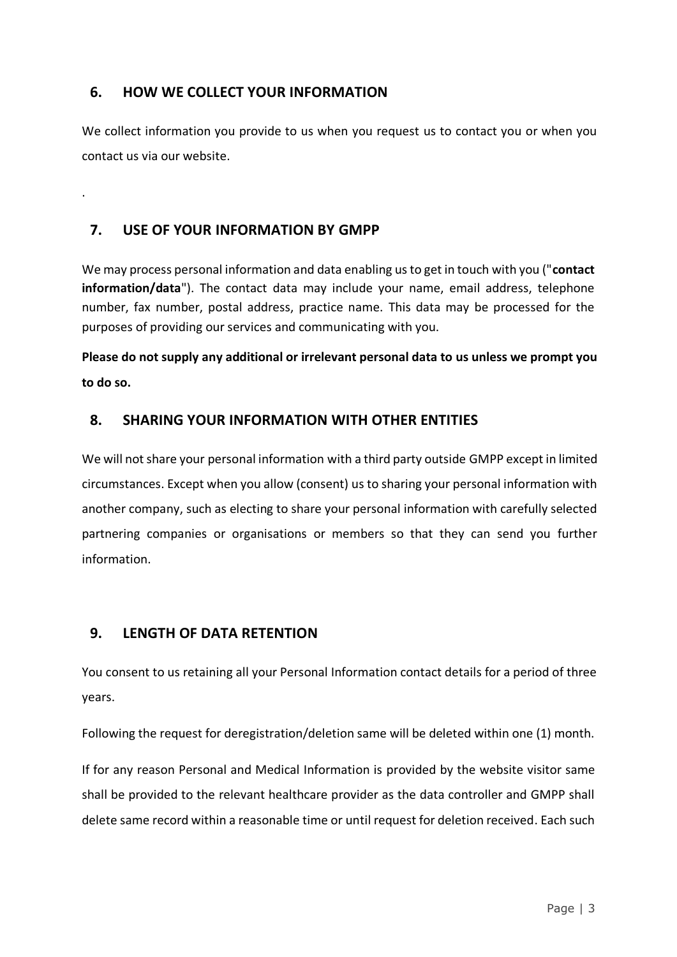# **6. HOW WE COLLECT YOUR INFORMATION**

We collect information you provide to us when you request us to contact you or when you contact us via our website.

# **7. USE OF YOUR INFORMATION BY GMPP**

.

We may process personal information and data enabling us to get in touch with you ("**contact information/data**"). The contact data may include your name, email address, telephone number, fax number, postal address, practice name. This data may be processed for the purposes of providing our services and communicating with you.

**Please do not supply any additional or irrelevant personal data to us unless we prompt you to do so.**

# **8. SHARING YOUR INFORMATION WITH OTHER ENTITIES**

We will not share your personal information with a third party outside GMPP except in limited circumstances. Except when you allow (consent) us to sharing your personal information with another company, such as electing to share your personal information with carefully selected partnering companies or organisations or members so that they can send you further information.

# **9. LENGTH OF DATA RETENTION**

You consent to us retaining all your Personal Information contact details for a period of three years.

Following the request for deregistration/deletion same will be deleted within one (1) month.

If for any reason Personal and Medical Information is provided by the website visitor same shall be provided to the relevant healthcare provider as the data controller and GMPP shall delete same record within a reasonable time or until request for deletion received. Each such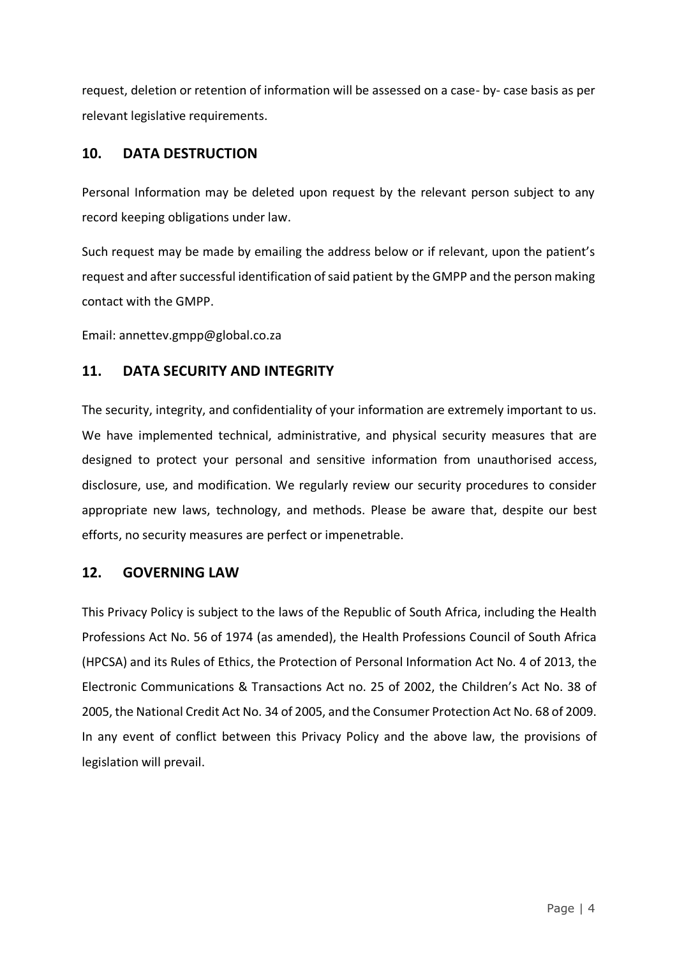request, deletion or retention of information will be assessed on a case- by- case basis as per relevant legislative requirements.

## **10. DATA DESTRUCTION**

Personal Information may be deleted upon request by the relevant person subject to any record keeping obligations under law.

Such request may be made by emailing the address below or if relevant, upon the patient's request and after successful identification of said patient by the GMPP and the person making contact with the GMPP.

Email: annettev.gmpp@global.co.za

# **11. DATA SECURITY AND INTEGRITY**

The security, integrity, and confidentiality of your information are extremely important to us. We have implemented technical, administrative, and physical security measures that are designed to protect your personal and sensitive information from unauthorised access, disclosure, use, and modification. We regularly review our security procedures to consider appropriate new laws, technology, and methods. Please be aware that, despite our best efforts, no security measures are perfect or impenetrable.

# **12. GOVERNING LAW**

This Privacy Policy is subject to the laws of the Republic of South Africa, including the Health Professions Act No. 56 of 1974 (as amended), the Health Professions Council of South Africa (HPCSA) and its Rules of Ethics, the Protection of Personal Information Act No. 4 of 2013, the Electronic Communications & Transactions Act no. 25 of 2002, the Children's Act No. 38 of 2005, the National Credit Act No. 34 of 2005, and the Consumer Protection Act No. 68 of 2009. In any event of conflict between this Privacy Policy and the above law, the provisions of legislation will prevail.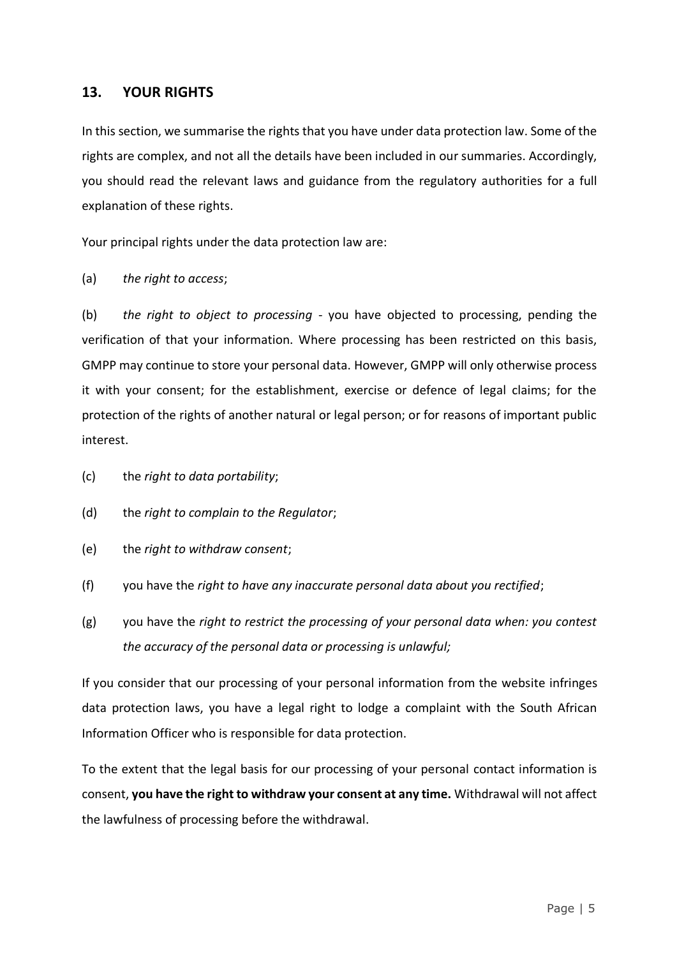#### **13. YOUR RIGHTS**

In this section, we summarise the rights that you have under data protection law. Some of the rights are complex, and not all the details have been included in our summaries. Accordingly, you should read the relevant laws and guidance from the regulatory authorities for a full explanation of these rights.

Your principal rights under the data protection law are:

(a) *the right to access*;

(b) *the right to object to processing* - you have objected to processing, pending the verification of that your information. Where processing has been restricted on this basis, GMPP may continue to store your personal data. However, GMPP will only otherwise process it with your consent; for the establishment, exercise or defence of legal claims; for the protection of the rights of another natural or legal person; or for reasons of important public interest.

- (c) the *right to data portability*;
- (d) the *right to complain to the Regulator*;
- (e) the *right to withdraw consent*;
- (f) you have the *right to have any inaccurate personal data about you rectified*;
- (g) you have the *right to restrict the processing of your personal data when: you contest the accuracy of the personal data or processing is unlawful;*

If you consider that our processing of your personal information from the website infringes data protection laws, you have a legal right to lodge a complaint with the South African Information Officer who is responsible for data protection.

To the extent that the legal basis for our processing of your personal contact information is consent, **you have the right to withdraw your consent at any time.** Withdrawal will not affect the lawfulness of processing before the withdrawal.